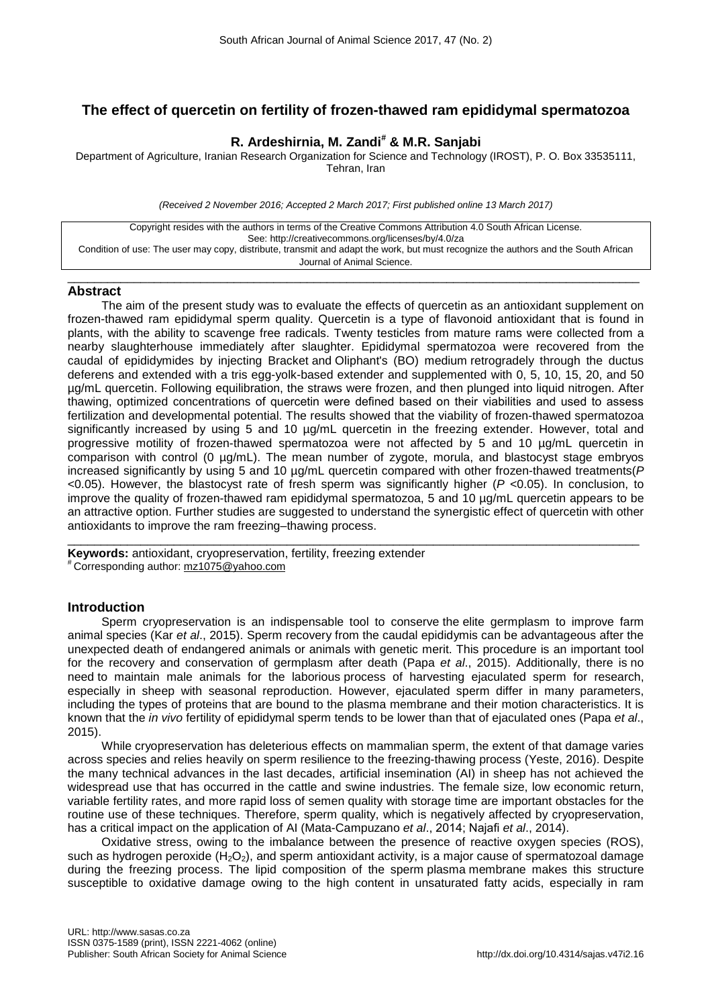# **The effect of quercetin on fertility of frozen-thawed ram epididymal spermatozoa**

# **R. Ardeshirnia, M. Zandi# & M.R. Sanjabi**

Department of Agriculture, Iranian Research Organization for Science and Technology (IROST), P. O. Box 33535111, Tehran, Iran

*(Received 2 November 2016; Accepted 2 March 2017; First published online 13 March 2017)*

Copyright resides with the authors in terms of the Creative Commons Attribution 4.0 South African License. See: http://creativecommons.org/licenses/by/4.0/za Condition of use: The user may copy, distribute, transmit and adapt the work, but must recognize the authors and the South African Journal of Animal Science.

\_\_\_\_\_\_\_\_\_\_\_\_\_\_\_\_\_\_\_\_\_\_\_\_\_\_\_\_\_\_\_\_\_\_\_\_\_\_\_\_\_\_\_\_\_\_\_\_\_\_\_\_\_\_\_\_\_\_\_\_\_\_\_\_\_\_\_\_\_\_\_\_\_\_\_\_\_\_\_\_\_\_\_\_\_\_

## **Abstract**

The aim of the present study was to evaluate the effects of quercetin as an antioxidant supplement on frozen-thawed ram epididymal sperm quality. Quercetin is a type of flavonoid antioxidant that is found in plants, with the ability to scavenge free radicals. Twenty testicles from mature rams were collected from a nearby slaughterhouse immediately after slaughter. Epididymal spermatozoa were recovered from the caudal of epididymides by injecting Bracket and Oliphant's (BO) medium retrogradely through the ductus deferens and extended with a tris egg-yolk-based extender and supplemented with 0, 5, 10, 15, 20, and 50 µg/mL quercetin. Following equilibration, the straws were frozen, and then plunged into liquid nitrogen. After thawing, optimized concentrations of quercetin were defined based on their viabilities and used to assess fertilization and developmental potential. The results showed that the viability of frozen-thawed spermatozoa significantly increased by using 5 and 10  $\mu$ g/mL quercetin in the freezing extender. However, total and progressive motility of frozen-thawed spermatozoa were not affected by 5 and 10 µg/mL quercetin in comparison with control (0 µg/mL). The mean number of zygote, morula, and blastocyst stage embryos increased significantly by using 5 and 10 µg/mL quercetin compared with other frozen-thawed treatments(*P*  <0.05). However, the blastocyst rate of fresh sperm was significantly higher (*P* <0.05). In conclusion, to improve the quality of frozen-thawed ram epididymal spermatozoa, 5 and 10 µg/mL quercetin appears to be an attractive option. Further studies are suggested to understand the synergistic effect of quercetin with other antioxidants to improve the ram freezing–thawing process.

\_\_\_\_\_\_\_\_\_\_\_\_\_\_\_\_\_\_\_\_\_\_\_\_\_\_\_\_\_\_\_\_\_\_\_\_\_\_\_\_\_\_\_\_\_\_\_\_\_\_\_\_\_\_\_\_\_\_\_\_\_\_\_\_\_\_\_\_\_\_\_\_\_\_\_\_\_\_\_\_\_\_\_\_\_\_ **Keywords:** antioxidant, cryopreservation, fertility, freezing extender # Corresponding author: [mz1075@yahoo.com](mailto:mz1075@yahoo.com)

# **Introduction**

Sperm cryopreservation is an indispensable tool to conserve the elite germplasm to improve farm animal species (Kar *et al*., 2015). Sperm recovery from the caudal epididymis can be advantageous after the unexpected death of endangered animals or animals with genetic merit. This procedure is an important tool for the recovery and conservation of germplasm after death (Papa *et al*., 2015). Additionally, there is no need to maintain male animals for the laborious process of harvesting ejaculated sperm for research, especially in sheep with seasonal reproduction. However, ejaculated sperm differ in many parameters, including the types of proteins that are bound to the plasma membrane and their motion characteristics. It is known that the *in vivo* fertility of epididymal sperm tends to be lower than that of ejaculated ones (Papa *et al*., 2015).

While cryopreservation has deleterious effects on mammalian sperm, the extent of that damage varies across species and relies heavily on sperm resilience to the freezing-thawing process (Yeste, 2016). Despite the many technical advances in the last decades, artificial insemination (AI) in sheep has not achieved the widespread use that has occurred in the cattle and swine industries. The female size, low economic return, variable fertility rates, and more rapid loss of semen quality with storage time are important obstacles for the routine use of these techniques. Therefore, sperm quality, which is negatively affected by cryopreservation, has a critical impact on the application of AI (Mata-Campuzano *et al*., 2014; Najafi *et al*., 2014).

Oxidative stress, owing to the imbalance between the presence of reactive oxygen species (ROS), such as hydrogen peroxide  $(H<sub>2</sub>O<sub>2</sub>)$ , and sperm antioxidant activity, is a major cause of spermatozoal damage during the freezing process. The lipid composition of the sperm plasma membrane makes this structure susceptible to oxidative damage owing to the high content in unsaturated fatty acids, especially in ram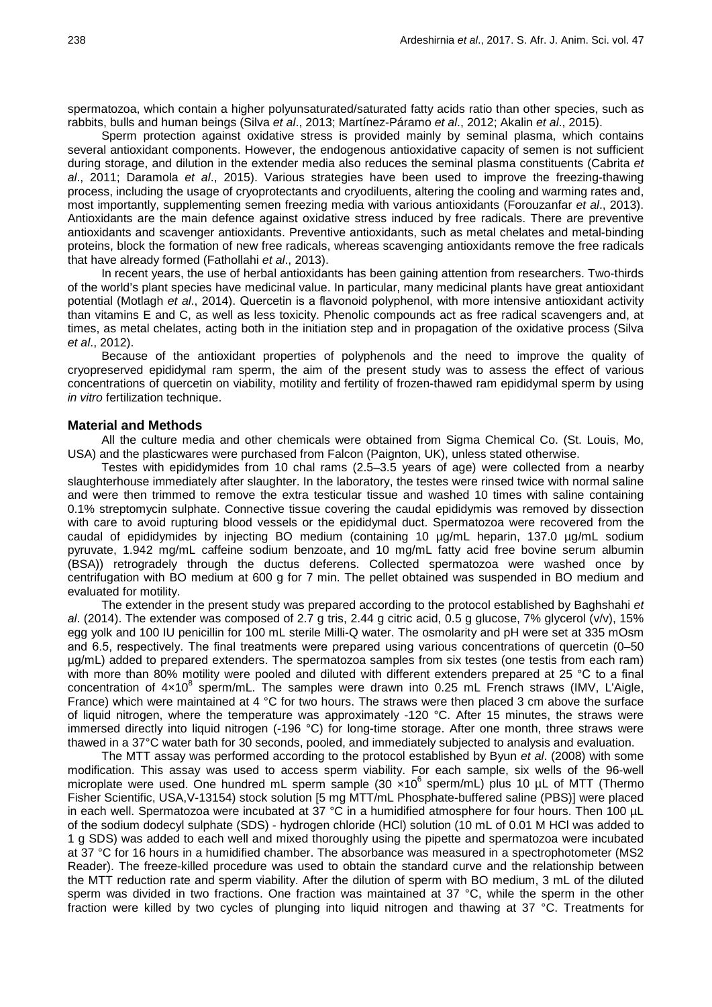spermatozoa, which contain a higher polyunsaturated/saturated fatty acids ratio than other species, such as rabbits, bulls and human beings (Silva *et al*., 2013; Martínez-Páramo *et al*., 2012; Akalin *et al*., 2015).

Sperm protection against oxidative stress is provided mainly by seminal plasma, which contains several antioxidant components. However, the endogenous antioxidative capacity of semen is not sufficient during storage, and dilution in the extender media also reduces the seminal plasma constituents (Cabrita *et al*., 2011; Daramola *et al*., 2015). Various strategies have been used to improve the freezing-thawing process, including the usage of cryoprotectants and cryodiluents, altering the cooling and warming rates and, most importantly, supplementing semen freezing media with various antioxidants (Forouzanfar *et al*., 2013). Antioxidants are the main defence against oxidative stress induced by free radicals. There are preventive antioxidants and scavenger antioxidants. Preventive antioxidants, such as metal chelates and metal-binding proteins, block the formation of new free radicals, whereas scavenging antioxidants remove the free radicals that have already formed (Fathollahi *et al*., 2013).

In recent years, the use of herbal antioxidants has been gaining attention from researchers. Two-thirds of the world's plant species have medicinal value. In particular, many medicinal plants have great antioxidant potential (Motlagh *et al*., 2014). Quercetin is a flavonoid polyphenol, with more intensive antioxidant activity than vitamins E and C, as well as less toxicity. Phenolic compounds act as free radical scavengers and, at times, as metal chelates, acting both in the initiation step and in propagation of the oxidative process (Silva *et al*., 2012).

Because of the antioxidant properties of polyphenols and the need to improve the quality of cryopreserved epididymal ram sperm, the aim of the present study was to assess the effect of various concentrations of quercetin on viability, motility and fertility of frozen-thawed ram epididymal sperm by using *in vitro* fertilization technique.

#### **Material and Methods**

All the culture media and other chemicals were obtained from Sigma Chemical Co. (St. Louis, Mo, USA) and the plasticwares were purchased from Falcon (Paignton, UK), unless stated otherwise.

Testes with epididymides from 10 chal rams (2.5–3.5 years of age) were collected from a nearby slaughterhouse immediately after slaughter. In the laboratory, the testes were rinsed twice with normal saline and were then trimmed to remove the extra testicular tissue and washed 10 times with saline containing 0.1% streptomycin sulphate. Connective tissue covering the caudal epididymis was removed by dissection with care to avoid rupturing blood vessels or the epididymal duct. Spermatozoa were recovered from the caudal of epididymides by injecting BO medium (containing 10 µg/mL heparin, 137.0 µg/mL sodium pyruvate, 1.942 mg/mL caffeine sodium benzoate, and 10 mg/mL fatty acid free bovine serum albumin (BSA)) retrogradely through the ductus deferens. Collected spermatozoa were washed once by centrifugation with BO medium at 600 g for 7 min. The pellet obtained was suspended in BO medium and evaluated for motility.

The extender in the present study was prepared according to the protocol established by Baghshahi *et al*. (2014). The extender was composed of 2.7 g tris, 2.44 g citric acid, 0.5 g glucose, 7% glycerol (v/v), 15% egg yolk and 100 IU penicillin for 100 mL sterile Milli-Q water. The osmolarity and pH were set at 335 mOsm and 6.5, respectively. The final treatments were prepared using various concentrations of quercetin (0–50 µg/mL) added to prepared extenders. The spermatozoa samples from six testes (one testis from each ram) with more than 80% motility were pooled and diluted with different extenders prepared at 25 °C to a final concentration of  $4\times10^8$  sperm/mL. The samples were drawn into 0.25 mL French straws (IMV, L'Aigle, France) which were maintained at 4 °C for two hours. The straws were then placed 3 cm above the surface of liquid nitrogen, where the temperature was approximately -120 °C. After 15 minutes, the straws were immersed directly into liquid nitrogen (-196 °C) for long-time storage. After one month, three straws were thawed in a 37°C water bath for 30 seconds, pooled, and immediately subjected to analysis and evaluation.

The MTT assay was performed according to the protocol established by Byun *et al*. (2008) with some modification. This assay was used to access sperm viability. For each sample, six wells of the 96-well microplate were used. One hundred mL sperm sample (30  $\times10^6$  sperm/mL) plus 10 µL of MTT (Thermo [Fisher Scientific,](https://www.google.com/url?sa=t&rct=j&q=&esrc=s&source=web&cd=1&cad=rja&uact=8&ved=0CB8QFjAAahUKEwih0tamzOjIAhVHvRQKHVCoDtg&url=https%3A%2F%2Fwww.thermofisher.com%2Forder%2Fcatalog%2Fproduct%2FV13154&usg=AFQjCNExzCvoXh0ysDMdra08xFjdy5X7gA&bvm=bv.106130839,d.d24) USA,V-13154) stock solution [5 mg MTT/mL Phosphate-buffered saline (PBS)] were placed in each well. Spermatozoa were incubated at 37 °C in a humidified atmosphere for four hours. Then 100 µL of the sodium dodecyl sulphate (SDS) - hydrogen chloride (HCl) solution (10 mL of 0.01 M HCl was added to 1 g SDS) was added to each well and mixed thoroughly using the pipette and spermatozoa were incubated at 37 °C for 16 hours in a humidified chamber. The absorbance was measured in a spectrophotometer (MS2 Reader). The freeze-killed procedure was used to obtain the standard curve and the relationship between the MTT reduction rate and sperm viability. After the dilution of sperm with BO medium, 3 mL of the diluted sperm was divided in two fractions. One fraction was maintained at 37 °C, while the sperm in the other fraction were killed by two cycles of plunging into liquid nitrogen and thawing at 37 °C. Treatments for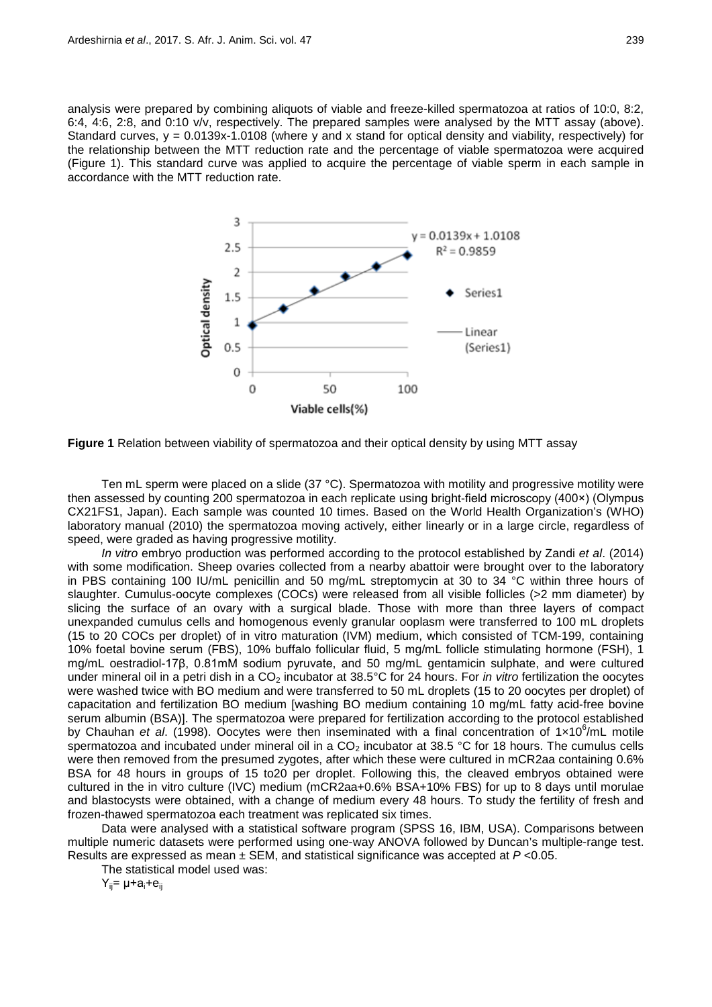analysis were prepared by combining aliquots of viable and freeze-killed spermatozoa at ratios of 10:0, 8:2, 6:4, 4:6, 2:8, and 0:10 v/v, respectively. The prepared samples were analysed by the MTT assay (above). Standard curves,  $y = 0.0139x-1.0108$  (where y and x stand for optical density and viability, respectively) for the relationship between the MTT reduction rate and the percentage of viable spermatozoa were acquired (Figure 1). This standard curve was applied to acquire the percentage of viable sperm in each sample in accordance with the MTT reduction rate.



**Figure 1** Relation between viability of spermatozoa and their optical density by using MTT assay

Ten mL sperm were placed on a slide (37 °C). Spermatozoa with motility and progressive motility were then assessed by counting 200 spermatozoa in each replicate using bright-field microscopy (400×) (Olympus CX21FS1, Japan). Each sample was counted 10 times. Based on the World Health Organization's (WHO) laboratory manual (2010) the spermatozoa moving actively, either linearly or in a large circle, regardless of speed, were graded as having progressive motility.

*In vitro* embryo production was performed according to the protocol established by Zandi *et al*. (2014) with some modification. Sheep ovaries collected from a nearby abattoir were brought over to the laboratory in PBS containing 100 IU/mL penicillin and 50 mg/mL streptomycin at 30 to 34 °C within three hours of slaughter. Cumulus-oocyte complexes (COCs) were released from all visible follicles (>2 mm diameter) by slicing the surface of an ovary with a surgical blade. Those with more than three layers of compact unexpanded cumulus cells and homogenous evenly granular ooplasm were transferred to 100 mL droplets (15 to 20 COCs per droplet) of in vitro maturation (IVM) medium, which consisted of TCM-199, containing 10% foetal bovine serum (FBS), 10% buffalo follicular fluid, 5 mg/mL follicle stimulating hormone (FSH), 1 mg/mL oestradiol-17β, 0.81mM sodium pyruvate, and 50 mg/mL gentamicin sulphate, and were cultured under mineral oil in a petri dish in a CO<sub>2</sub> incubator at 38.5°C for 24 hours. For *in vitro* fertilization the oocytes were washed twice with BO medium and were transferred to 50 mL droplets (15 to 20 oocytes per droplet) of capacitation and fertilization BO medium [washing BO medium containing 10 mg/mL fatty acid-free bovine serum albumin (BSA)]. The spermatozoa were prepared for fertilization according to the protocol established by Chauhan et al. (1998). Oocytes were then inseminated with a final concentration of 1x10<sup>6</sup>/mL motile spermatozoa and incubated under mineral oil in a  $CO<sub>2</sub>$  incubator at 38.5 °C for 18 hours. The cumulus cells were then removed from the presumed zygotes, after which these were cultured in mCR2aa containing 0.6% BSA for 48 hours in groups of 15 to20 per droplet. Following this, the cleaved embryos obtained were cultured in the in vitro culture (IVC) medium (mCR2aa+0.6% BSA+10% FBS) for up to 8 days until morulae and blastocysts were obtained, with a change of medium every 48 hours. To study the fertility of fresh and frozen-thawed spermatozoa each treatment was replicated six times.

Data were analysed with a statistical software program (SPSS 16, IBM, USA). Comparisons between multiple numeric datasets were performed using one-way ANOVA followed by Duncan's multiple-range test. Results are expressed as mean ± SEM, and statistical significance was accepted at *P* <0.05.

The statistical model used was:

 $Y_{ii}$ =  $\mu$ +a<sub>i</sub>+e<sub>ii</sub>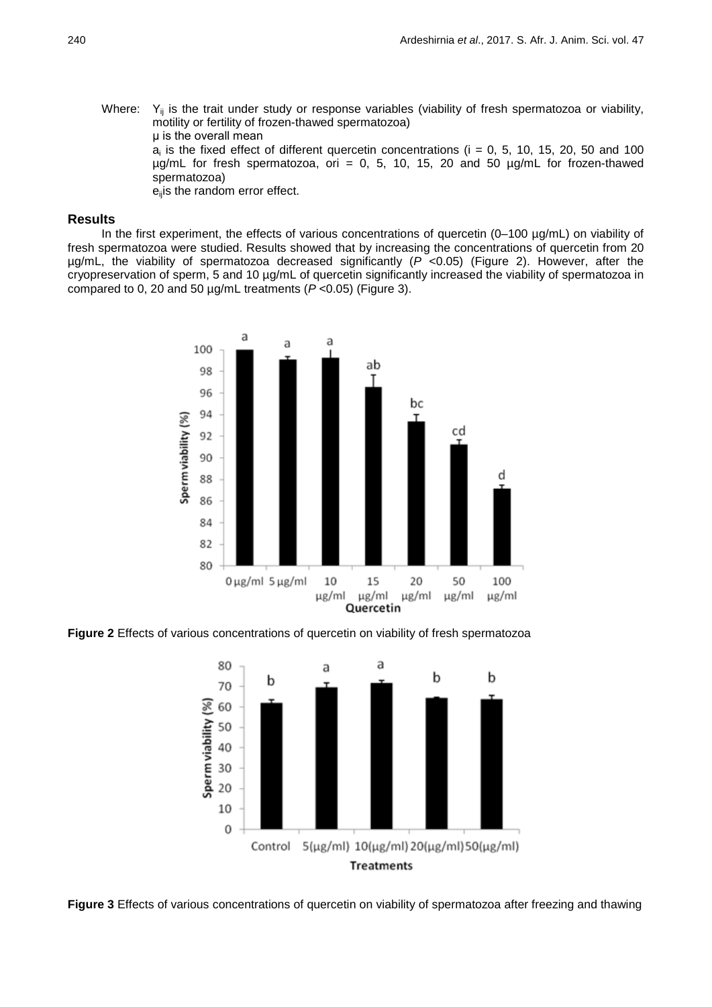Where:  $Y_{ij}$  is the trait under study or response variables (viability of fresh spermatozoa or viability, motility or fertility of frozen-thawed spermatozoa) μ is the overall mean  $a_i$  is the fixed effect of different quercetin concentrations (i = 0, 5, 10, 15, 20, 50 and 100  $\mu$ g/mL for fresh spermatozoa, ori = 0, 5, 10, 15, 20 and 50  $\mu$ g/mL for frozen-thawed spermatozoa) e<sub>ii</sub>is the random error effect.

## **Results**

In the first experiment, the effects of various concentrations of quercetin (0–100 µg/mL) on viability of fresh spermatozoa were studied. Results showed that by increasing the concentrations of quercetin from 20 µg/mL, the viability of spermatozoa decreased significantly (*P* <0.05) (Figure 2). However, after the cryopreservation of sperm, 5 and 10 µg/mL of quercetin significantly increased the viability of spermatozoa in compared to 0, 20 and 50 µg/mL treatments (*P* <0.05) (Figure 3).



**Figure 2** Effects of various concentrations of quercetin on viability of fresh spermatozoa



**Figure 3** Effects of various concentrations of quercetin on viability of spermatozoa after freezing and thawing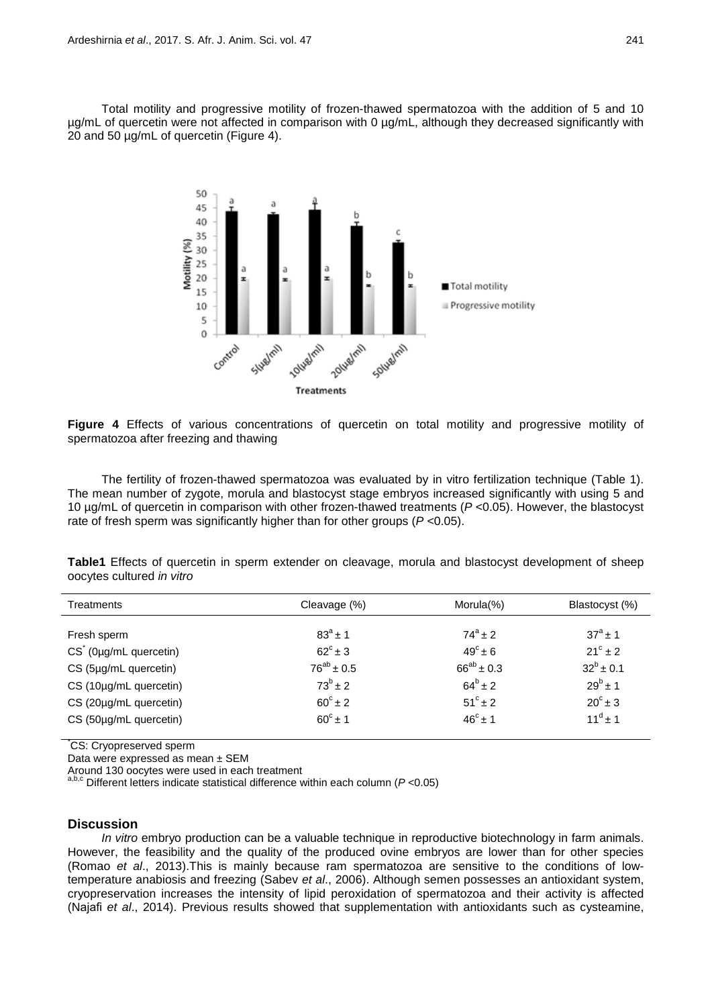Total motility and progressive motility of frozen-thawed spermatozoa with the addition of 5 and 10 µg/mL of quercetin were not affected in comparison with 0 µg/mL, although they decreased significantly with 20 and 50 µg/mL of quercetin (Figure 4).



**Figure 4** Effects of various concentrations of quercetin on total motility and progressive motility of spermatozoa after freezing and thawing

The fertility of frozen-thawed spermatozoa was evaluated by in vitro fertilization technique (Table 1). The mean number of zygote, morula and blastocyst stage embryos increased significantly with using 5 and 10 µg/mL of quercetin in comparison with other frozen-thawed treatments (*P* <0.05). However, the blastocyst rate of fresh sperm was significantly higher than for other groups (*P* <0.05).

**Table1** Effects of quercetin in sperm extender on cleavage, morula and blastocyst development of sheep oocytes cultured *in vitro*

| <b>Treatments</b>                 | Cleavage (%)       | Morula $(\%)$     | Blastocyst (%)     |
|-----------------------------------|--------------------|-------------------|--------------------|
| Fresh sperm                       | $83^{a}$ ± 1       | $74^a + 2$        | $37^{\circ}$ + 1   |
| $CS^{\dagger}$ (0µg/mL quercetin) | $62^{\circ} \pm 3$ | $49^\circ \pm 6$  | $21^{\circ}$ ± 2   |
| CS (5µg/mL quercetin)             | $76^{ab} \pm 0.5$  | $66^{ab} \pm 0.3$ | $32^{b}$ ± 0.1     |
| CS (10µg/mL quercetin)            | $73^b \pm 2$       | $64^{b} \pm 2$    | $29^{b}$ ± 1       |
| CS (20µg/mL quercetin)            | $60^\circ \pm 2$   | $51^{\circ}$ ± 2  | $20^{\circ} \pm 3$ |
| CS (50µg/mL quercetin)            | $60^{\circ}$ ± 1   | $46^{\circ} + 1$  | $11^d \pm 1$       |

\* CS: Cryopreserved sperm

Data were expressed as mean ± SEM

Around 130 oocytes were used in each treatment a,b,c Different letters indicate statistical difference within each column (*P* <0.05)

## **Discussion**

*In vitro* embryo production can be a valuable technique in reproductive biotechnology in farm animals. However, the feasibility and the quality of the produced ovine embryos are lower than for other species (Romao *et al*., 2013).This is mainly because ram spermatozoa are sensitive to the conditions of lowtemperature anabiosis and freezing (Sabev *et al*., 2006). Although semen possesses an antioxidant system, cryopreservation increases the intensity of lipid peroxidation of spermatozoa and their activity is affected (Najafi *et al*., 2014). Previous results showed that supplementation with antioxidants such as cysteamine,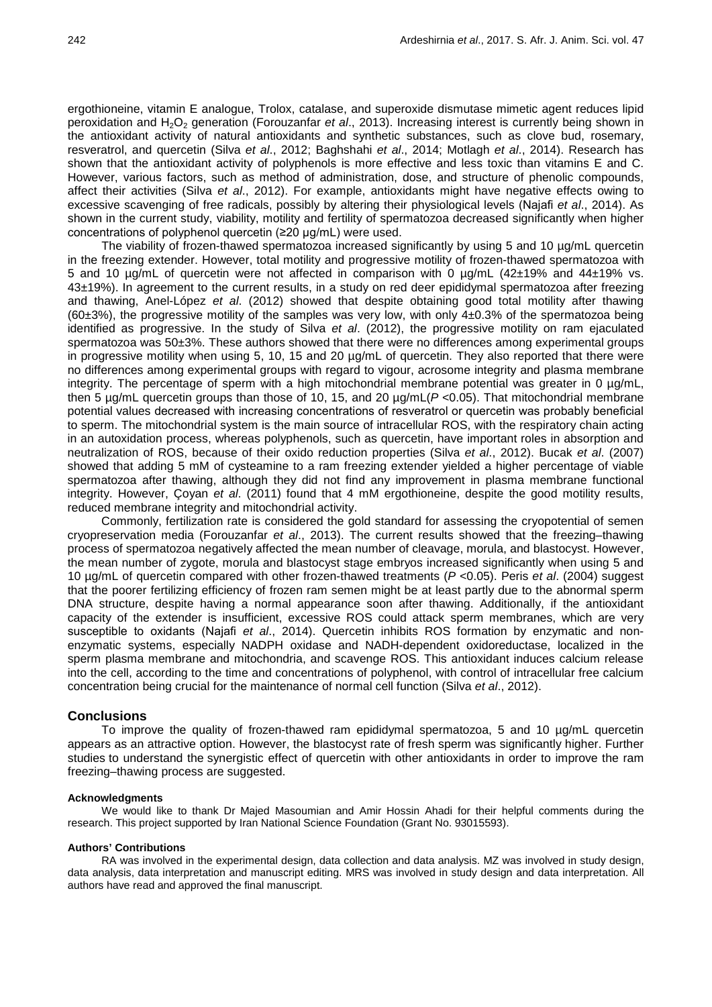ergothioneine, vitamin E analogue, Trolox, catalase, and superoxide dismutase mimetic agent reduces lipid peroxidation and H2O2 generation (Forouzanfar *et al*., 2013). Increasing interest is currently being shown in the antioxidant activity of natural antioxidants and synthetic substances, such as clove bud, rosemary, resveratrol, and quercetin (Silva *et al*., 2012; Baghshahi *et al*., 2014; Motlagh *et al*., 2014). Research has shown that the antioxidant activity of polyphenols is more effective and less toxic than vitamins E and C. However, various factors, such as method of administration, dose, and structure of phenolic compounds, affect their activities (Silva *et al*., 2012). For example, antioxidants might have negative effects owing to excessive scavenging of free radicals, possibly by altering their physiological levels (Najafi *et al*., 2014). As shown in the current study, viability, motility and fertility of spermatozoa decreased significantly when higher concentrations of polyphenol quercetin (≥20 µg/mL) were used.

The viability of frozen-thawed spermatozoa increased significantly by using 5 and 10 µg/mL quercetin in the freezing extender. However, total motility and progressive motility of frozen-thawed spermatozoa with 5 and 10 µg/mL of quercetin were not affected in comparison with 0 µg/mL (42±19% and 44±19% vs. 43±19%). In agreement to the current results, in a study on red deer epididymal spermatozoa after freezing and thawing, Anel-López *et al*. (2012) showed that despite obtaining good total motility after thawing  $(60±3%)$ , the progressive motility of the samples was very low, with only  $4±0.3%$  of the spermatozoa being identified as progressive. In the study of Silva *et al*. (2012), the progressive motility on ram ejaculated spermatozoa was 50±3%. These authors showed that there were no differences among experimental groups in progressive motility when using 5, 10, 15 and 20  $\mu$ g/mL of quercetin. They also reported that there were no differences among experimental groups with regard to vigour, acrosome integrity and plasma membrane integrity. The percentage of sperm with a high mitochondrial membrane potential was greater in 0 µg/mL, then 5 µg/mL quercetin groups than those of 10, 15, and 20 µg/mL(*P* <0.05). That mitochondrial membrane potential values decreased with increasing concentrations of resveratrol or quercetin was probably beneficial to sperm. The mitochondrial system is the main source of intracellular ROS, with the respiratory chain acting in an autoxidation process, whereas polyphenols, such as quercetin, have important roles in absorption and neutralization of ROS, because of their oxido reduction properties (Silva *et al*., 2012). Bucak *et al*. (2007) showed that adding 5 mM of cysteamine to a ram freezing extender yielded a higher percentage of viable spermatozoa after thawing, although they did not find any improvement in plasma membrane functional integrity. However, Çoyan *et al*. (2011) found that 4 mM ergothioneine, despite the good motility results, reduced membrane integrity and mitochondrial activity.

Commonly, fertilization rate is considered the gold standard for assessing the cryopotential of semen cryopreservation media (Forouzanfar *et al*., 2013). The current results showed that the freezing–thawing process of spermatozoa negatively affected the mean number of cleavage, morula, and blastocyst. However, the mean number of zygote, morula and blastocyst stage embryos increased significantly when using 5 and 10 µg/mL of quercetin compared with other frozen-thawed treatments (*P* <0.05). Peris *et al*. (2004) suggest that the poorer fertilizing efficiency of frozen ram semen might be at least partly due to the abnormal sperm DNA structure, despite having a normal appearance soon after thawing. Additionally, if the antioxidant capacity of the extender is insufficient, excessive ROS could attack sperm membranes, which are very susceptible to oxidants (Najafi *et al*., 2014). Quercetin inhibits ROS formation by enzymatic and nonenzymatic systems, especially NADPH oxidase and NADH-dependent oxidoreductase, localized in the sperm plasma membrane and mitochondria, and scavenge ROS. This antioxidant induces calcium release into the cell, according to the time and concentrations of polyphenol, with control of intracellular free calcium concentration being crucial for the maintenance of normal cell function (Silva *et al*., 2012).

### **Conclusions**

To improve the quality of frozen-thawed ram epididymal spermatozoa, 5 and 10 µg/mL quercetin appears as an attractive option. However, the blastocyst rate of fresh sperm was significantly higher. Further studies to understand the synergistic effect of quercetin with other antioxidants in order to improve the ram freezing–thawing process are suggested.

#### **Acknowledgments**

We would like to thank Dr Majed Masoumian and Amir Hossin Ahadi for their helpful comments during the research. This project supported by Iran National Science Foundation (Grant No. 93015593).

#### **Authors' Contributions**

RA was involved in the experimental design, data collection and data analysis. MZ was involved in study design, data analysis, data interpretation and manuscript editing. MRS was involved in study design and data interpretation. All authors have read and approved the final manuscript.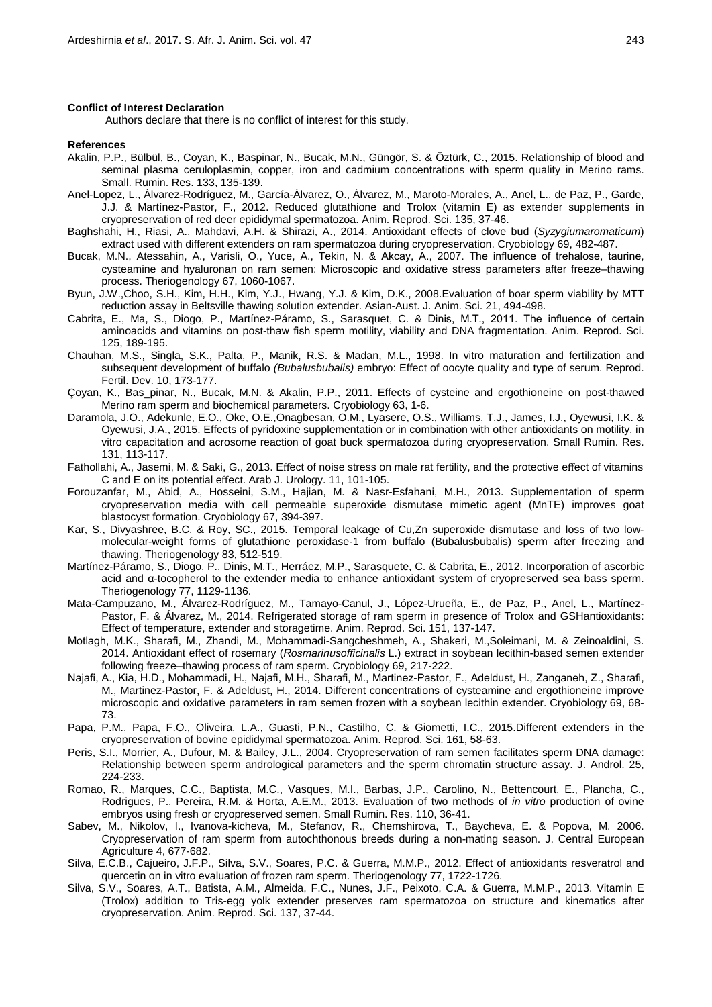#### **Conflict of Interest Declaration**

Authors declare that there is no conflict of interest for this study.

#### **References**

- Akalin, P.P., Bülbül, B., Coyan, K., Baspinar, N., Bucak, M.N., Güngör, S. & Öztürk, C., 2015. Relationship of blood and seminal plasma ceruloplasmin, copper, iron and cadmium concentrations with sperm quality in Merino rams. Small. Rumin. Res. 133, 135-139.
- Anel-Lopez, L., Álvarez-Rodríguez, M., García-Álvarez, O., Álvarez, M., Maroto-Morales, A., Anel, L., de Paz, P., Garde, J.J. & Martínez-Pastor, F., 2012. Reduced glutathione and Trolox (vitamin E) as extender supplements in cryopreservation of red deer epididymal spermatozoa. Anim. Reprod. Sci. 135, 37-46.
- Baghshahi, H., Riasi, A., Mahdavi, A.H. & Shirazi, A., 2014. Antioxidant effects of clove bud (*Syzygiumaromaticum*) extract used with different extenders on ram spermatozoa during cryopreservation. Cryobiology 69, 482-487.
- Bucak, M.N., Atessahin, A., Varisli, O., Yuce, A., Tekin, N. & Akcay, A., 2007. The influence of trehalose, taurine, cysteamine and hyaluronan on ram semen: Microscopic and oxidative stress parameters after freeze–thawing process. Theriogenology 67, 1060-1067.
- Byun, J.W.,Choo, S.H., Kim, H.H., Kim, Y.J., Hwang, Y.J. & Kim, D.K., 2008.Evaluation of boar sperm viability by MTT reduction assay in Beltsville thawing solution extender. Asian-Aust. J. Anim. Sci. 21, 494-498.
- Cabrita, E., Ma, S., Diogo, P., Martínez-Páramo, S., Sarasquet, C. & Dinis, M.T., 2011. The influence of certain aminoacids and vitamins on post-thaw fish sperm motility, viability and DNA fragmentation. Anim. Reprod. Sci. 125, 189-195.
- Chauhan, M.S., Singla, S.K., Palta, P., Manik, R.S. & Madan, M.L., 1998. In vitro maturation and fertilization and subsequent development of buffalo *(Bubalusbubalis)* embryo: Effect of oocyte quality and type of serum. Reprod. Fertil. Dev. 10, 173-177.
- Çoyan, K., Bas\_pinar, N., Bucak, M.N. & Akalin, P.P., 2011. Effects of cysteine and ergothioneine on post-thawed Merino ram sperm and biochemical parameters. Cryobiology 63, 1-6.
- Daramola, J.O., Adekunle, E.O., Oke, O.E.,Onagbesan, O.M., Lyasere, O.S., Williams, T.J., James, I.J., Oyewusi, I.K. & Oyewusi, J.A., 2015. Effects of pyridoxine supplementation or in combination with other antioxidants on motility, in vitro capacitation and acrosome reaction of goat buck spermatozoa during cryopreservation. Small Rumin. Res. 131, 113-117.
- Fathollahi, A., Jasemi, M. & Saki, G., 2013. Effect of noise stress on male rat fertility, and the protective effect of vitamins C and E on its potential effect. Arab J. Urology. 11, 101-105.
- Forouzanfar, M., Abid, A., Hosseini, S.M., Hajian, M. & Nasr-Esfahani, M.H., 2013. Supplementation of sperm cryopreservation media with cell permeable superoxide dismutase mimetic agent (MnTE) improves goat blastocyst formation. Cryobiology 67, 394-397.
- Kar, S., Divyashree, B.C. & Roy, SC., 2015. Temporal leakage of Cu,Zn superoxide dismutase and loss of two lowmolecular-weight forms of glutathione peroxidase-1 from buffalo (Bubalusbubalis) sperm after freezing and thawing. Theriogenology 83, 512-519.
- Martínez-Páramo, S., Diogo, P., Dinis, M.T., Herráez, M.P., Sarasquete, C. & Cabrita, E., 2012. Incorporation of ascorbic acid and α-tocopherol to the extender media to enhance antioxidant system of cryopreserved sea bass sperm. Theriogenology 77, 1129-1136.
- Mata-Campuzano, M., Álvarez-Rodríguez, M., Tamayo-Canul, J., López-Urueña, E., de Paz, P., Anel, L., Martínez-Pastor, F. & Álvarez, M., 2014. Refrigerated storage of ram sperm in presence of Trolox and GSHantioxidants: Effect of temperature, extender and storagetime. Anim. Reprod. Sci. 151, 137-147.
- Motlagh, M.K., Sharafi, M., Zhandi, M., Mohammadi-Sangcheshmeh, A., Shakeri, M.,Soleimani, M. & Zeinoaldini, S. 2014. Antioxidant effect of rosemary (*Rosmarinusofficinalis* L.) extract in soybean lecithin-based semen extender following freeze–thawing process of ram sperm. Cryobiology 69, 217-222.
- Najafi, A., Kia, H.D., Mohammadi, H., Najafi, M.H., Sharafi, M., Martinez-Pastor, F., Adeldust, H., Zanganeh, Z., Sharafi, M., Martinez-Pastor, F. & Adeldust, H., 2014. Different concentrations of cysteamine and ergothioneine improve microscopic and oxidative parameters in ram semen frozen with a soybean lecithin extender. Cryobiology 69, 68- 73.
- Papa, P.M., Papa, F.O., Oliveira, L.A., Guasti, P.N., Castilho, C. & Giometti, I.C., 2015.Different extenders in the cryopreservation of bovine epididymal spermatozoa. Anim. Reprod. Sci. 161, 58-63.
- Peris, S.I., Morrier, A., Dufour, M. & Bailey, J.L., 2004. Cryopreservation of ram semen facilitates sperm DNA damage: Relationship between sperm andrological parameters and the sperm chromatin structure assay. J. Androl. 25, 224-233.
- Romao, R., Marques, C.C., Baptista, M.C., Vasques, M.I., Barbas, J.P., Carolino, N., Bettencourt, E., Plancha, C., Rodrigues, P., Pereira, R.M. & Horta, A.E.M., 2013. Evaluation of two methods of *in vitro* production of ovine embryos using fresh or cryopreserved semen. Small Rumin. Res. 110, 36-41.
- Sabev, M., Nikolov, I., Ivanova-kicheva, M., Stefanov, R., Chemshirova, T., Baycheva, E. & Popova, M. 2006. Cryopreservation of ram sperm from autochthonous breeds during a non-mating season. J. Central European Agriculture 4, 677-682.
- Silva, E.C.B., Cajueiro, J.F.P., Silva, S.V., Soares, P.C. & Guerra, M.M.P., 2012. Effect of antioxidants resveratrol and quercetin on in vitro evaluation of frozen ram sperm. Theriogenology 77, 1722-1726.
- Silva, S.V., Soares, A.T., Batista, A.M., Almeida, F.C., Nunes, J.F., Peixoto, C.A. & Guerra, M.M.P., 2013. Vitamin E (Trolox) addition to Tris-egg yolk extender preserves ram spermatozoa on structure and kinematics after cryopreservation. Anim. Reprod. Sci. 137, 37-44.